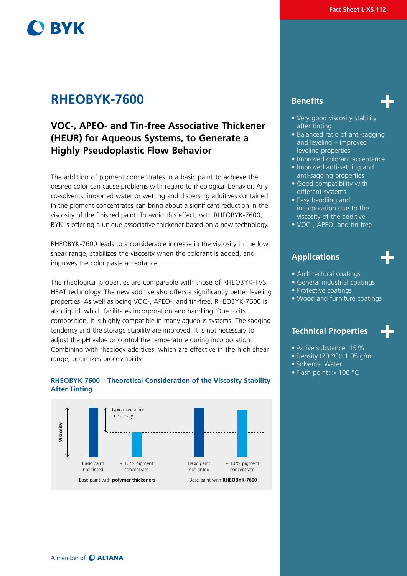# **BYK**

# **RHEOBYK-7600 Benefits**

# **VOC-, APEO- and Tin-free Associative Thickener (HEUR) for Aqueous Systems, to Generate a Highly Pseudoplastic Flow Behavior**

The addition of pigment concentrates in a basic paint to achieve the desired color can cause problems with regard to rheological behavior. Any co-solvents, imported water or wetting and dispersing additives contained in the pigment concentrates can bring about a significant reduction in the viscosity of the finished paint. To avoid this effect, with RHEOBYK-7600, BYK is offering a unique associative thickener based on a new technology.

RHEOBYK-7600 leads to a considerable increase in the viscosity in the low shear range, stabilizes the viscosity when the colorant is added, and improves the color paste acceptance.

The rheological properties are comparable with those of RHEOBYK-TVS HEAT technology. The new additive also offers a significantly better leveling properties. As well as being VOC-, APEO-, and tin-free, RHEOBYK-7600 is also liquid, which facilitates incorporation and handling. Due to its composition, it is highly compatible in many aqueous systems. The sagging tendency and the storage stability are improved. It is not necessary to adjust the pH value or control the temperature during incorporation. Combining with rheology additives, which are effective in the high shear range, optimizes processability.

### **RHEOBYK-7600 – Theoretical Consideration of the Viscosity Stability After Tinting**





- Very good viscosity stability after tinting
- Balanced ratio of anti-sagging and leveling – improved leveling properties
- Improved colorant acceptance
- Improved anti-settling and anti-sagging properties
- Good compatibility with different systems
- Easy handling and incorporation due to the viscosity of the additive
- VOC-, APEO- and tin-free

# **Applications**

- Architectural coatings
- General industrial coatings
- Protective coatings
- Wood and furniture coatings

# **Technical Properties**

- Active substance: 15%
- Density (20 °C): 1.05 g/ml
- Solvents: Water
- Flash point:  $> 100$  °C